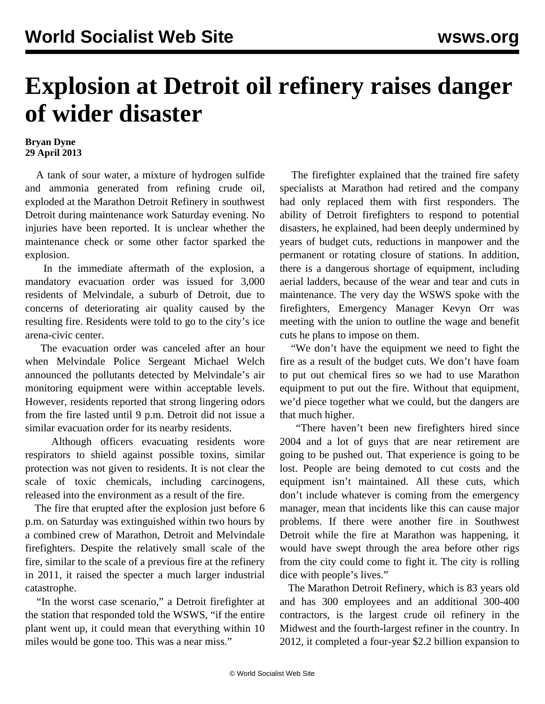## **Explosion at Detroit oil refinery raises danger of wider disaster**

## **Bryan Dyne 29 April 2013**

 A tank of sour water, a mixture of hydrogen sulfide and ammonia generated from refining crude oil, exploded at the Marathon Detroit Refinery in southwest Detroit during maintenance work Saturday evening. No injuries have been reported. It is unclear whether the maintenance check or some other factor sparked the explosion.

 In the immediate aftermath of the explosion, a mandatory evacuation order was issued for 3,000 residents of Melvindale, a suburb of Detroit, due to concerns of deteriorating air quality caused by the resulting fire. Residents were told to go to the city's ice arena-civic center.

 The evacuation order was canceled after an hour when Melvindale Police Sergeant Michael Welch announced the pollutants detected by Melvindale's air monitoring equipment were within acceptable levels. However, residents reported that strong lingering odors from the fire lasted until 9 p.m. Detroit did not issue a similar evacuation order for its nearby residents.

 Although officers evacuating residents wore respirators to shield against possible toxins, similar protection was not given to residents. It is not clear the scale of toxic chemicals, including carcinogens, released into the environment as a result of the fire.

 The fire that erupted after the explosion just before 6 p.m. on Saturday was extinguished within two hours by a combined crew of Marathon, Detroit and Melvindale firefighters. Despite the relatively small scale of the fire, similar to the scale of a previous fire at the refinery in 2011, it raised the specter a much larger industrial catastrophe.

 "In the worst case scenario," a Detroit firefighter at the station that responded told the WSWS, "if the entire plant went up, it could mean that everything within 10 miles would be gone too. This was a near miss."

 The firefighter explained that the trained fire safety specialists at Marathon had retired and the company had only replaced them with first responders. The ability of Detroit firefighters to respond to potential disasters, he explained, had been deeply undermined by years of budget cuts, reductions in manpower and the permanent or rotating closure of stations. In addition, there is a dangerous shortage of equipment, including aerial ladders, because of the wear and tear and cuts in maintenance. The very day the WSWS spoke with the firefighters, Emergency Manager Kevyn Orr was meeting with the union to outline the wage and benefit cuts he plans to impose on them.

 "We don't have the equipment we need to fight the fire as a result of the budget cuts. We don't have foam to put out chemical fires so we had to use Marathon equipment to put out the fire. Without that equipment, we'd piece together what we could, but the dangers are that much higher.

 "There haven't been new firefighters hired since 2004 and a lot of guys that are near retirement are going to be pushed out. That experience is going to be lost. People are being demoted to cut costs and the equipment isn't maintained. All these cuts, which don't include whatever is coming from the emergency manager, mean that incidents like this can cause major problems. If there were another fire in Southwest Detroit while the fire at Marathon was happening, it would have swept through the area before other rigs from the city could come to fight it. The city is rolling dice with people's lives."

 The Marathon Detroit Refinery, which is 83 years old and has 300 employees and an additional 300-400 contractors, is the largest crude oil refinery in the Midwest and the fourth-largest refiner in the country. In 2012, it completed a four-year \$2.2 billion expansion to